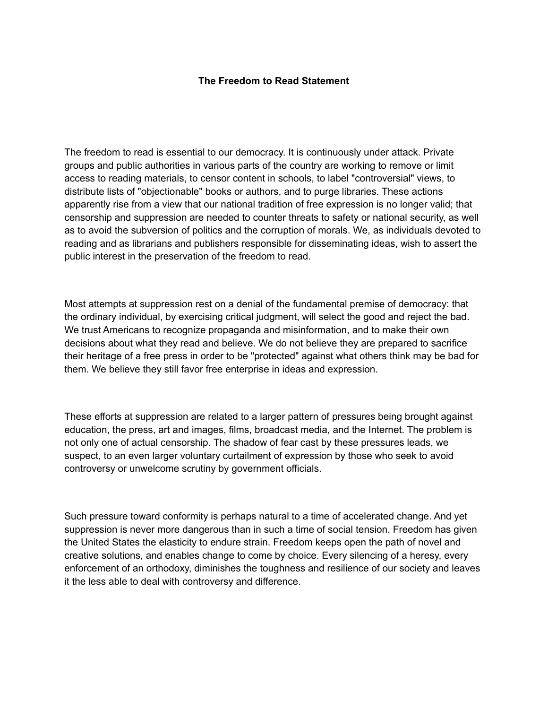## **The Freedom to Read Statement**

The freedom to read is essential to our democracy. It is continuously under attack. Private groups and public authorities in various parts of the country are working to remove or limit access to reading materials, to censor content in schools, to label "controversial" views, to distribute lists of "objectionable" books or authors, and to purge libraries. These actions apparently rise from a view that our national tradition of free expression is no longer valid; that censorship and suppression are needed to counter threats to safety or national security, as well as to avoid the subversion of politics and the corruption of morals. We, as individuals devoted to reading and as librarians and publishers responsible for disseminating ideas, wish to assert the public interest in the preservation of the freedom to read.

Most attempts at suppression rest on a denial of the fundamental premise of democracy: that the ordinary individual, by exercising critical judgment, will select the good and reject the bad. We trust Americans to recognize propaganda and misinformation, and to make their own decisions about what they read and believe. We do not believe they are prepared to sacrifice their heritage of a free press in order to be "protected" against what others think may be bad for them. We believe they still favor free enterprise in ideas and expression.

These efforts at suppression are related to a larger pattern of pressures being brought against education, the press, art and images, films, broadcast media, and the Internet. The problem is not only one of actual censorship. The shadow of fear cast by these pressures leads, we suspect, to an even larger voluntary curtailment of expression by those who seek to avoid controversy or unwelcome scrutiny by government officials.

Such pressure toward conformity is perhaps natural to a time of accelerated change. And yet suppression is never more dangerous than in such a time of social tension. Freedom has given the United States the elasticity to endure strain. Freedom keeps open the path of novel and creative solutions, and enables change to come by choice. Every silencing of a heresy, every enforcement of an orthodoxy, diminishes the toughness and resilience of our society and leaves it the less able to deal with controversy and difference.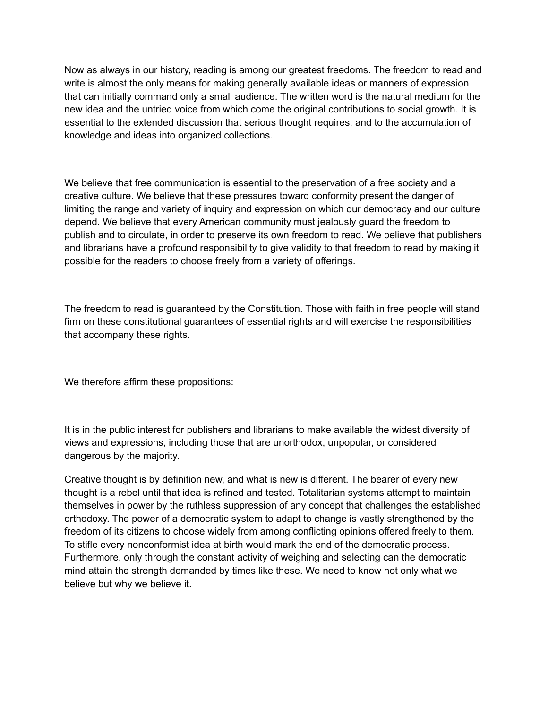Now as always in our history, reading is among our greatest freedoms. The freedom to read and write is almost the only means for making generally available ideas or manners of expression that can initially command only a small audience. The written word is the natural medium for the new idea and the untried voice from which come the original contributions to social growth. It is essential to the extended discussion that serious thought requires, and to the accumulation of knowledge and ideas into organized collections.

We believe that free communication is essential to the preservation of a free society and a creative culture. We believe that these pressures toward conformity present the danger of limiting the range and variety of inquiry and expression on which our democracy and our culture depend. We believe that every American community must jealously guard the freedom to publish and to circulate, in order to preserve its own freedom to read. We believe that publishers and librarians have a profound responsibility to give validity to that freedom to read by making it possible for the readers to choose freely from a variety of offerings.

The freedom to read is guaranteed by the Constitution. Those with faith in free people will stand firm on these constitutional guarantees of essential rights and will exercise the responsibilities that accompany these rights.

We therefore affirm these propositions:

It is in the public interest for publishers and librarians to make available the widest diversity of views and expressions, including those that are unorthodox, unpopular, or considered dangerous by the majority.

Creative thought is by definition new, and what is new is different. The bearer of every new thought is a rebel until that idea is refined and tested. Totalitarian systems attempt to maintain themselves in power by the ruthless suppression of any concept that challenges the established orthodoxy. The power of a democratic system to adapt to change is vastly strengthened by the freedom of its citizens to choose widely from among conflicting opinions offered freely to them. To stifle every nonconformist idea at birth would mark the end of the democratic process. Furthermore, only through the constant activity of weighing and selecting can the democratic mind attain the strength demanded by times like these. We need to know not only what we believe but why we believe it.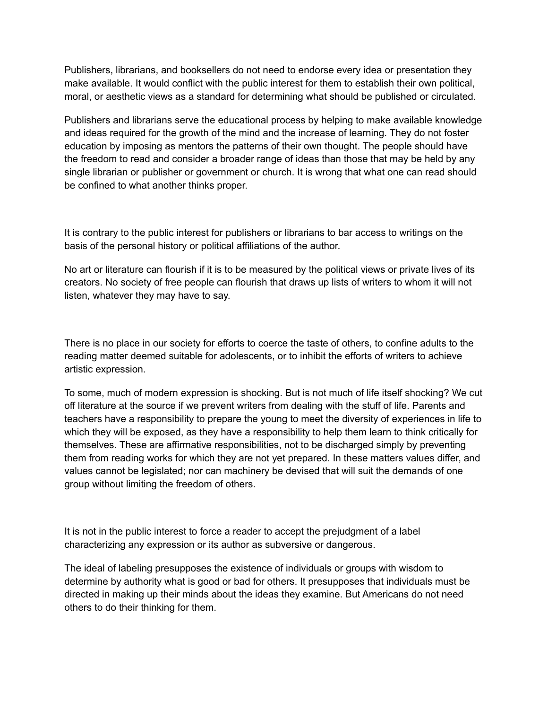Publishers, librarians, and booksellers do not need to endorse every idea or presentation they make available. It would conflict with the public interest for them to establish their own political, moral, or aesthetic views as a standard for determining what should be published or circulated.

Publishers and librarians serve the educational process by helping to make available knowledge and ideas required for the growth of the mind and the increase of learning. They do not foster education by imposing as mentors the patterns of their own thought. The people should have the freedom to read and consider a broader range of ideas than those that may be held by any single librarian or publisher or government or church. It is wrong that what one can read should be confined to what another thinks proper.

It is contrary to the public interest for publishers or librarians to bar access to writings on the basis of the personal history or political affiliations of the author.

No art or literature can flourish if it is to be measured by the political views or private lives of its creators. No society of free people can flourish that draws up lists of writers to whom it will not listen, whatever they may have to say.

There is no place in our society for efforts to coerce the taste of others, to confine adults to the reading matter deemed suitable for adolescents, or to inhibit the efforts of writers to achieve artistic expression.

To some, much of modern expression is shocking. But is not much of life itself shocking? We cut off literature at the source if we prevent writers from dealing with the stuff of life. Parents and teachers have a responsibility to prepare the young to meet the diversity of experiences in life to which they will be exposed, as they have a responsibility to help them learn to think critically for themselves. These are affirmative responsibilities, not to be discharged simply by preventing them from reading works for which they are not yet prepared. In these matters values differ, and values cannot be legislated; nor can machinery be devised that will suit the demands of one group without limiting the freedom of others.

It is not in the public interest to force a reader to accept the prejudgment of a label characterizing any expression or its author as subversive or dangerous.

The ideal of labeling presupposes the existence of individuals or groups with wisdom to determine by authority what is good or bad for others. It presupposes that individuals must be directed in making up their minds about the ideas they examine. But Americans do not need others to do their thinking for them.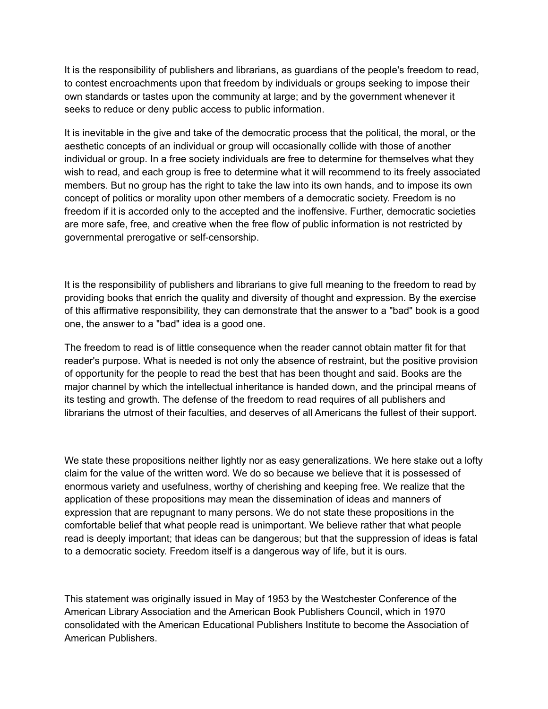It is the responsibility of publishers and librarians, as guardians of the people's freedom to read, to contest encroachments upon that freedom by individuals or groups seeking to impose their own standards or tastes upon the community at large; and by the government whenever it seeks to reduce or deny public access to public information.

It is inevitable in the give and take of the democratic process that the political, the moral, or the aesthetic concepts of an individual or group will occasionally collide with those of another individual or group. In a free society individuals are free to determine for themselves what they wish to read, and each group is free to determine what it will recommend to its freely associated members. But no group has the right to take the law into its own hands, and to impose its own concept of politics or morality upon other members of a democratic society. Freedom is no freedom if it is accorded only to the accepted and the inoffensive. Further, democratic societies are more safe, free, and creative when the free flow of public information is not restricted by governmental prerogative or self-censorship.

It is the responsibility of publishers and librarians to give full meaning to the freedom to read by providing books that enrich the quality and diversity of thought and expression. By the exercise of this affirmative responsibility, they can demonstrate that the answer to a "bad" book is a good one, the answer to a "bad" idea is a good one.

The freedom to read is of little consequence when the reader cannot obtain matter fit for that reader's purpose. What is needed is not only the absence of restraint, but the positive provision of opportunity for the people to read the best that has been thought and said. Books are the major channel by which the intellectual inheritance is handed down, and the principal means of its testing and growth. The defense of the freedom to read requires of all publishers and librarians the utmost of their faculties, and deserves of all Americans the fullest of their support.

We state these propositions neither lightly nor as easy generalizations. We here stake out a lofty claim for the value of the written word. We do so because we believe that it is possessed of enormous variety and usefulness, worthy of cherishing and keeping free. We realize that the application of these propositions may mean the dissemination of ideas and manners of expression that are repugnant to many persons. We do not state these propositions in the comfortable belief that what people read is unimportant. We believe rather that what people read is deeply important; that ideas can be dangerous; but that the suppression of ideas is fatal to a democratic society. Freedom itself is a dangerous way of life, but it is ours.

This statement was originally issued in May of 1953 by the Westchester Conference of the American Library Association and the American Book Publishers Council, which in 1970 consolidated with the American Educational Publishers Institute to become the Association of American Publishers.